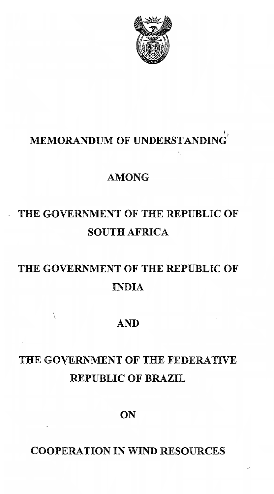

К.

### I", MEMORANDUM OF UNDERSTANDING

# AMONG

# THE GOVERNMENT OF THE REPUBLIC OF SOUTH AFRICA

# THE GOVERNMENT OF **THE** REPUBLIC OF INDIA

# AND

# THE GOYERNMENT OF THE FEDERATIVE REPUBLIC OF BRAZIL

# **ON**

# COOPERATION IN WIND RESOURCES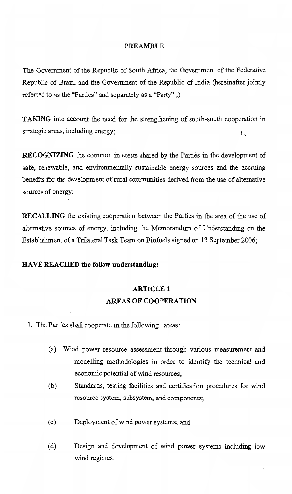#### PREAMBLE

The Government of the Republic of South Africa, the Government of the Federative Republic of Brazil and the Government of the Republic of India (hereinafter jointly referred to as the "Parties" and separately as a "Party" ;)

**TAKING** into account the need for the strengthening of south-south cooperation in strategic areas, including energy;  $\mathcal{V}_{\mathcal{S}}$ 

**RECOGNIZING** the common interests shared by the Parties in the development of safe, renewable, and environmentally sustainable energy sources and the accruing benefits for the development of rural communities derived from the use of alternative sources of energy;

RECALLING the existing cooperation between the Parties in the area of the use of alternative sources of energy, including the Memorandum of Understanding on the Establishment of a Trilateral Task Team on Biofuels signed on 13 September 2006;

#### HAVE REACHED the follow understanding:

# ARTICLE 1 AREAS OF COOPERATION

- 1. The Parties shall cooperate in the following areas:
	- (a) Wind power resource assessment through various measurement and modelling methodologies in order to identify the technical and economic potential of wind resources;
	- (b) Standards, testing facilities and certification procedures for wind resource system, subsystem, and components;
	- (c) Deployment of wind power systems; and
	- (d) Design and development of wind power systems including low wind regimes.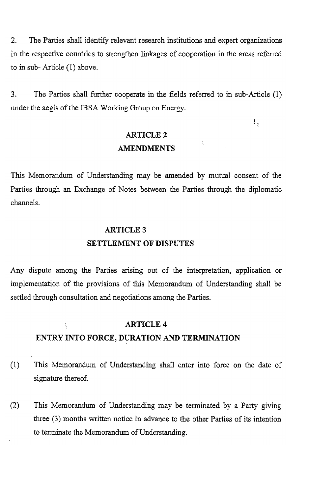2. The Parties shall identify relevant research institutions and expert organizations in the respective countries to strengthen linkages of cooperation in the areas referred to in sub- Article (1) above.

3. Tbe Parties shall further cooperate in the fields referred to in sub-Article (I) under the aegis of the IBSA Working Group on Energy.

 $\mathbf{F}_{\mathrm{p}}$ 

# ARTICLE 2 AMENDMENTS

 $\tilde{\textbf{t}}_i$ 

This Memorandum of Understanding may be amended by mutual consent of the Parties through an Exchange of Notes between the Parties through the diplomatic channels.

# ARTICLE 3 SETTLEMENT OF DISPUTES

Any dispute among the Parties arising out of the interpretation, application or implementation of the provisions of this Memorandum of Understanding shall be settled through consultation and negotiations among the Parties.

#### ARTICLE 4 Ì. ENTRY INTO FORCE, DURATION AND TERMINATION

- (1) This Memorandum of Understanding shall enter into force on the date of signature thereof.
- (2) This Memorandum of Understanding may be terminated by a Party giving three  $(3)$  months written notice in advance to the other Parties of its intention to terminate the Memorandum of Understanding.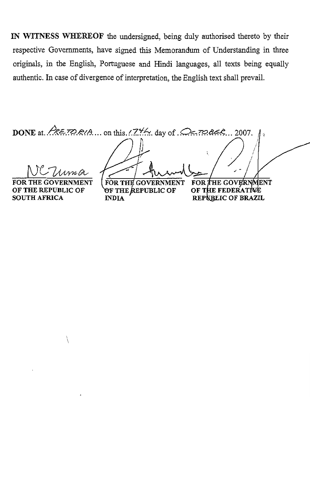IN WITNESS WHEREOF the undersigned, being du1y authorised thereto by their respective Governments, have signed this Memorandum of Understanding in three originals, in the English, Portuguese and Hindi languages, all texts being equally authentic. In case of divergence of interpretation, the English text shall prevail.

DONE at.  $A \in \mathbb{Z} \cap A$ ... on this. $\langle Z^{\psi} \rangle$ . day of  $\mathbb{Z} \subseteq \mathbb{Z} \cap A \in \mathbb{Z}$ . 2007. WC Uma FOR THE GOVERNMENT FOR THE GOVERNMENT FOR THE GOVERNMENT

OF THE REPUBLIC OF SOUTH AFRICA

**OF THE REPUBLIC OF INDIA** 

OF THE FEDERATIVE REPUBLIC OF BRAZIL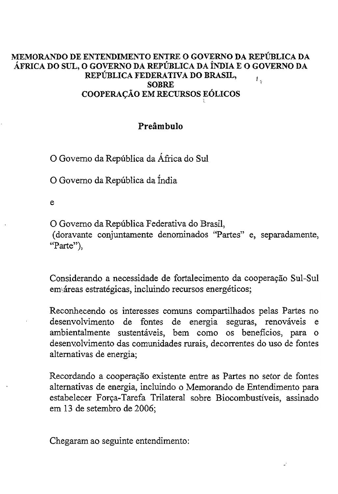#### MEMORANDO DE ENTENDIMENTO ENTRE 0 GOVERNO DA REPUBLICA DA AFRICA DO SUL, 0 GOVERNO DA REPUBLICA DA iNDIA E 0 GOVERNO DA REPUBLICA FEDERATIVA DO BRASIL,  $L_{\rm g}$ SOBRE COOPERAÇÃO EM RECURSOS EÓLICOS

## Preâmbulo

o Govemo da Republica da Africa do Sul

o Govemo da Republica da India

e

o Govemo da Republica Federativa do Brasil,

(doravante conjuntamente denominados "Partes" e, separadamente, **"Parte"),**

Considerando a necessidade de fortalecimento da cooperação Sul-Sul **em\,areas estrategicas, incluindo recursos energeticos;**

Reconhecendo os interesses comuns compartilhados pelas Partes no desenvolvimento de fontes de energia seguras, renováveis e ambientalmente sustentáveis, bem como os beneficios, para o desenvolvimento das comunidades rurais, decorrentes do uso de fontes altemativas de energia;

Recordando a cooperação existente entre as Partes no setor de fontes altemativas de energia, incluindo <sup>0</sup> Memorando de Entendimento para estabelecer Força-Tarefa Trilateral sobre Biocombustíveis, assinado em 13 de setembro de 2006;

Chegaram ao seguinte entendimento: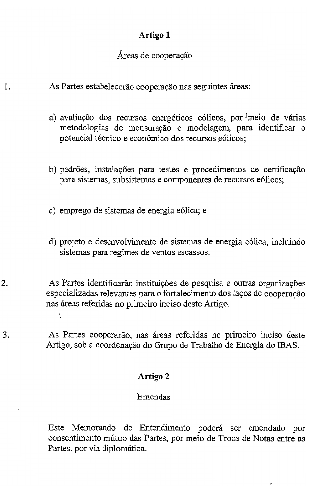# Artigo 1

## Áreas de cooperação

As Partes estabelecerão cooperação nas seguintes áreas:

1.

- a) avaliação dos recursos energéticos eólicos, por meio de várias metodologias de mensuração e modelagem, para identificar o potencial técnico e econômico dos recursos eólicos;
- b) padrões, instalações para testes e procedimentos de certificação para sistemas, subsistemas e componentes de recursos e6licos;
- c) emprego de sistemas de energia e6lica; e
- d) projeto e desenvolvimento de sistemas de energia e61ica, incluindo sistemas para regimes de ventos escassos.
- 2. As Partes identificarão instituições de pesquisa e outras organizações especializadas relevantes para o fortalecimento dos laços de cooperação nas areas referidas no primeiro inciso deste Artigo.

3. As Partes cooperarao, nas areas referidas no primeiro inciso deste Artigo, sob a coordenação do Grupo de Trabalho de Energia do IBAS.

### Artigo 2

## Emendas

Este Memorando de Entendimento poderá ser emendado por consentimento mutuo das Partes, por meio de Troca de Notas entre as Partes, por via diplomática.